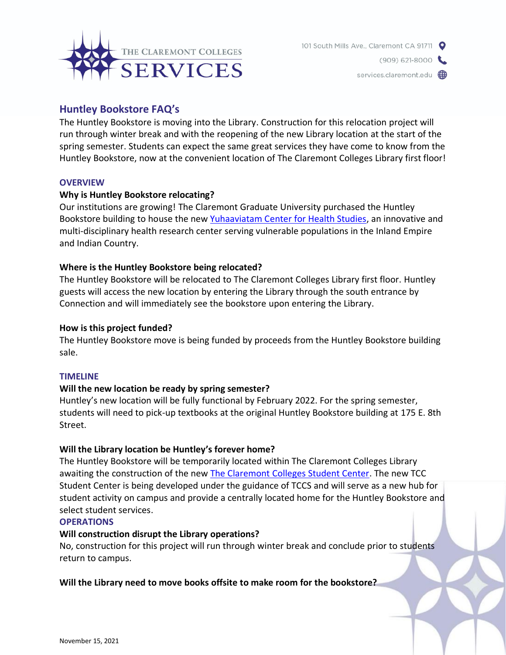

services.claremont.edu (D)

# **Huntley Bookstore FAQ's**

The Huntley Bookstore is moving into the Library. Construction for this relocation project will run through winter break and with the reopening of the new Library location at the start of the spring semester. Students can expect the same great services they have come to know from the Huntley Bookstore, now at the convenient location of The Claremont Colleges Library first floor!

### **OVERVIEW**

### **Why is Huntley Bookstore relocating?**

Our institutions are growing! The Claremont Graduate University purchased the Huntley Bookstore building to house the new [Yuhaaviatam Center for Health Studies,](https://www.cgu.edu/news/2020/12/14-million-gift-partnership-lay-foundation-of-a-new-approach-to-health-well-being-research/) an innovative and multi-disciplinary health research center serving vulnerable populations in the Inland Empire and Indian Country.

## **Where is the Huntley Bookstore being relocated?**

The Huntley Bookstore will be relocated to The Claremont Colleges Library first floor. Huntley guests will access the new location by entering the Library through the south entrance by Connection and will immediately see the bookstore upon entering the Library.

### **How is this project funded?**

The Huntley Bookstore move is being funded by proceeds from the Huntley Bookstore building sale.

### **TIMELINE**

# **Will the new location be ready by spring semester?**

Huntley's new location will be fully functional by February 2022. For the spring semester, students will need to pick-up textbooks at the original Huntley Bookstore building at 175 E. 8th Street.

### **Will the Library location be Huntley's forever home?**

The Huntley Bookstore will be temporarily located within The Claremont Colleges Library awaiting the construction of the new [The Claremont Colleges Student Center.](https://studentcenter.claremont.edu/) The new TCC Student Center is being developed under the guidance of TCCS and will serve as a new hub for student activity on campus and provide a centrally located home for the Huntley Bookstore and select student services.

### **OPERATIONS**

### **Will construction disrupt the Library operations?**

No, construction for this project will run through winter break and conclude prior to students return to campus.

# **Will the Library need to move books offsite to make room for the bookstore?**